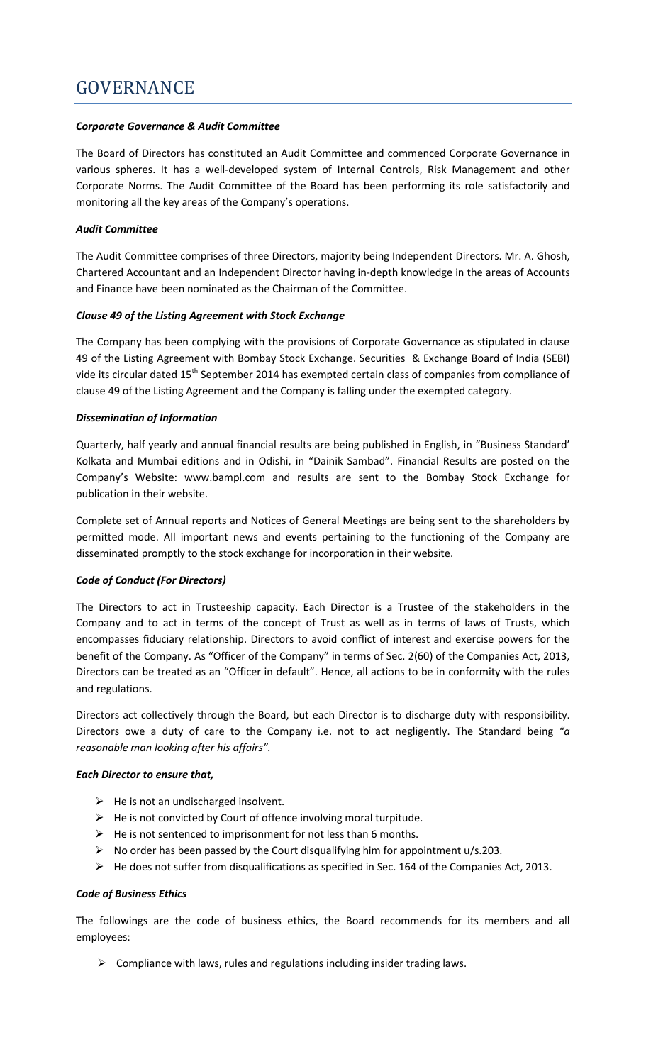## *Corporate Governance & Audit Committee*

The Board of Directors has constituted an Audit Committee and commenced Corporate Governance in various spheres. It has a well-developed system of Internal Controls, Risk Management and other Corporate Norms. The Audit Committee of the Board has been performing its role satisfactorily and monitoring all the key areas of the Company's operations.

## *Audit Committee*

The Audit Committee comprises of three Directors, majority being Independent Directors. Mr. A. Ghosh, Chartered Accountant and an Independent Director having in-depth knowledge in the areas of Accounts and Finance have been nominated as the Chairman of the Committee.

## *Clause 49 of the Listing Agreement with Stock Exchange*

The Company has been complying with the provisions of Corporate Governance as stipulated in clause 49 of the Listing Agreement with Bombay Stock Exchange. Securities & Exchange Board of India (SEBI) vide its circular dated 15<sup>th</sup> September 2014 has exempted certain class of companies from compliance of clause 49 of the Listing Agreement and the Company is falling under the exempted category.

## *Dissemination of Information*

Quarterly, half yearly and annual financial results are being published in English, in "Business Standard' Kolkata and Mumbai editions and in Odishi, in "Dainik Sambad". Financial Results are posted on the Company's Website: www.bampl.com and results are sent to the Bombay Stock Exchange for publication in their website.

Complete set of Annual reports and Notices of General Meetings are being sent to the shareholders by permitted mode. All important news and events pertaining to the functioning of the Company are disseminated promptly to the stock exchange for incorporation in their website.

# *Code of Conduct (For Directors)*

The Directors to act in Trusteeship capacity. Each Director is a Trustee of the stakeholders in the Company and to act in terms of the concept of Trust as well as in terms of laws of Trusts, which encompasses fiduciary relationship. Directors to avoid conflict of interest and exercise powers for the benefit of the Company. As "Officer of the Company" in terms of Sec. 2(60) of the Companies Act, 2013, Directors can be treated as an "Officer in default". Hence, all actions to be in conformity with the rules and regulations.

Directors act collectively through the Board, but each Director is to discharge duty with responsibility. Directors owe a duty of care to the Company i.e. not to act negligently. The Standard being *"a reasonable man looking after his affairs".* 

#### *Each Director to ensure that,*

- $\triangleright$  He is not an undischarged insolvent.
- $\triangleright$  He is not convicted by Court of offence involving moral turpitude.
- $\triangleright$  He is not sentenced to imprisonment for not less than 6 months.
- $\triangleright$  No order has been passed by the Court disqualifying him for appointment u/s.203.
- $\triangleright$  He does not suffer from disqualifications as specified in Sec. 164 of the Companies Act, 2013.

#### *Code of Business Ethics*

The followings are the code of business ethics, the Board recommends for its members and all employees:

 $\triangleright$  Compliance with laws, rules and regulations including insider trading laws.